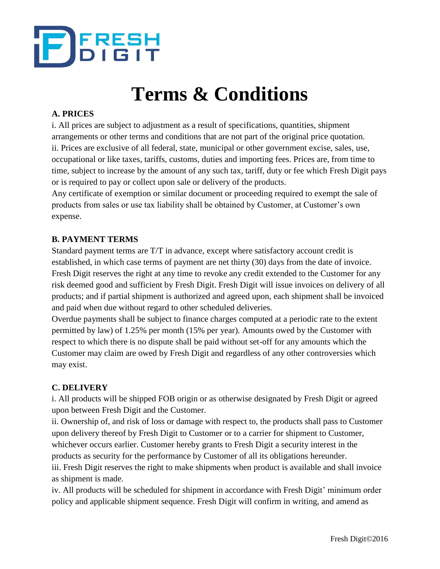

# **Terms & Conditions**

## **A. PRICES**

i. All prices are subject to adjustment as a result of specifications, quantities, shipment arrangements or other terms and conditions that are not part of the original price quotation. ii. Prices are exclusive of all federal, state, municipal or other government excise, sales, use, occupational or like taxes, tariffs, customs, duties and importing fees. Prices are, from time to time, subject to increase by the amount of any such tax, tariff, duty or fee which Fresh Digit pays or is required to pay or collect upon sale or delivery of the products.

Any certificate of exemption or similar document or proceeding required to exempt the sale of products from sales or use tax liability shall be obtained by Customer, at Customer's own expense.

#### **B. PAYMENT TERMS**

Standard payment terms are T/T in advance, except where satisfactory account credit is established, in which case terms of payment are net thirty (30) days from the date of invoice. Fresh Digit reserves the right at any time to revoke any credit extended to the Customer for any risk deemed good and sufficient by Fresh Digit. Fresh Digit will issue invoices on delivery of all products; and if partial shipment is authorized and agreed upon, each shipment shall be invoiced and paid when due without regard to other scheduled deliveries.

Overdue payments shall be subject to finance charges computed at a periodic rate to the extent permitted by law) of 1.25% per month (15% per year). Amounts owed by the Customer with respect to which there is no dispute shall be paid without set-off for any amounts which the Customer may claim are owed by Fresh Digit and regardless of any other controversies which may exist.

#### **C. DELIVERY**

i. All products will be shipped FOB origin or as otherwise designated by Fresh Digit or agreed upon between Fresh Digit and the Customer.

ii. Ownership of, and risk of loss or damage with respect to, the products shall pass to Customer upon delivery thereof by Fresh Digit to Customer or to a carrier for shipment to Customer, whichever occurs earlier. Customer hereby grants to Fresh Digit a security interest in the products as security for the performance by Customer of all its obligations hereunder.

iii. Fresh Digit reserves the right to make shipments when product is available and shall invoice as shipment is made.

iv. All products will be scheduled for shipment in accordance with Fresh Digit' minimum order policy and applicable shipment sequence. Fresh Digit will confirm in writing, and amend as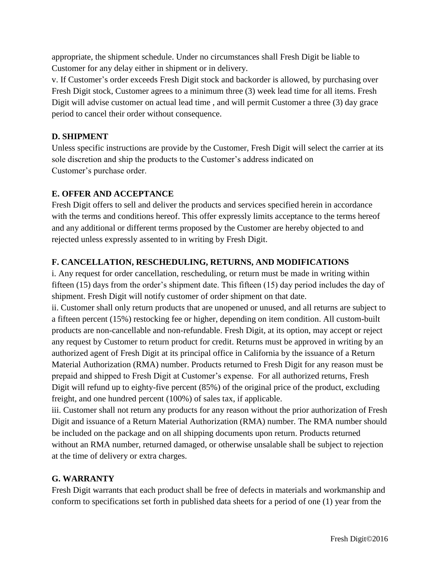appropriate, the shipment schedule. Under no circumstances shall Fresh Digit be liable to Customer for any delay either in shipment or in delivery.

v. If Customer's order exceeds Fresh Digit stock and backorder is allowed, by purchasing over Fresh Digit stock, Customer agrees to a minimum three (3) week lead time for all items. Fresh Digit will advise customer on actual lead time , and will permit Customer a three (3) day grace period to cancel their order without consequence.

# **D. SHIPMENT**

Unless specific instructions are provide by the Customer, Fresh Digit will select the carrier at its sole discretion and ship the products to the Customer's address indicated on Customer's purchase order.

#### **E. OFFER AND ACCEPTANCE**

Fresh Digit offers to sell and deliver the products and services specified herein in accordance with the terms and conditions hereof. This offer expressly limits acceptance to the terms hereof and any additional or different terms proposed by the Customer are hereby objected to and rejected unless expressly assented to in writing by Fresh Digit.

## **F. CANCELLATION, RESCHEDULING, RETURNS, AND MODIFICATIONS**

i. Any request for order cancellation, rescheduling, or return must be made in writing within fifteen (15) days from the order's shipment date. This fifteen (15) day period includes the day of shipment. Fresh Digit will notify customer of order shipment on that date.

ii. Customer shall only return products that are unopened or unused, and all returns are subject to a fifteen percent (15%) restocking fee or higher, depending on item condition. All custom-built products are non-cancellable and non-refundable. Fresh Digit, at its option, may accept or reject any request by Customer to return product for credit. Returns must be approved in writing by an authorized agent of Fresh Digit at its principal office in California by the issuance of a Return Material Authorization (RMA) number. Products returned to Fresh Digit for any reason must be prepaid and shipped to Fresh Digit at Customer's expense. For all authorized returns, Fresh Digit will refund up to eighty-five percent (85%) of the original price of the product, excluding freight, and one hundred percent (100%) of sales tax, if applicable.

iii. Customer shall not return any products for any reason without the prior authorization of Fresh Digit and issuance of a Return Material Authorization (RMA) number. The RMA number should be included on the package and on all shipping documents upon return. Products returned without an RMA number, returned damaged, or otherwise unsalable shall be subject to rejection at the time of delivery or extra charges.

#### **G. WARRANTY**

Fresh Digit warrants that each product shall be free of defects in materials and workmanship and conform to specifications set forth in published data sheets for a period of one (1) year from the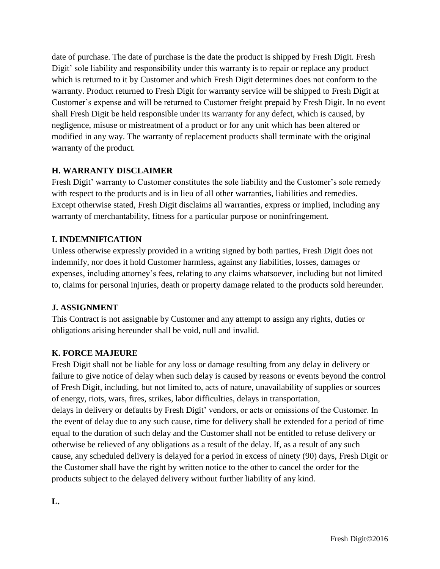date of purchase. The date of purchase is the date the product is shipped by Fresh Digit. Fresh Digit' sole liability and responsibility under this warranty is to repair or replace any product which is returned to it by Customer and which Fresh Digit determines does not conform to the warranty. Product returned to Fresh Digit for warranty service will be shipped to Fresh Digit at Customer's expense and will be returned to Customer freight prepaid by Fresh Digit. In no event shall Fresh Digit be held responsible under its warranty for any defect, which is caused, by negligence, misuse or mistreatment of a product or for any unit which has been altered or modified in any way. The warranty of replacement products shall terminate with the original warranty of the product.

## **H. WARRANTY DISCLAIMER**

Fresh Digit' warranty to Customer constitutes the sole liability and the Customer's sole remedy with respect to the products and is in lieu of all other warranties, liabilities and remedies. Except otherwise stated, Fresh Digit disclaims all warranties, express or implied, including any warranty of merchantability, fitness for a particular purpose or noninfringement.

#### **I. INDEMNIFICATION**

Unless otherwise expressly provided in a writing signed by both parties, Fresh Digit does not indemnify, nor does it hold Customer harmless, against any liabilities, losses, damages or expenses, including attorney's fees, relating to any claims whatsoever, including but not limited to, claims for personal injuries, death or property damage related to the products sold hereunder.

# **J. ASSIGNMENT**

This Contract is not assignable by Customer and any attempt to assign any rights, duties or obligations arising hereunder shall be void, null and invalid.

#### **K. FORCE MAJEURE**

Fresh Digit shall not be liable for any loss or damage resulting from any delay in delivery or failure to give notice of delay when such delay is caused by reasons or events beyond the control of Fresh Digit, including, but not limited to, acts of nature, unavailability of supplies or sources of energy, riots, wars, fires, strikes, labor difficulties, delays in transportation, delays in delivery or defaults by Fresh Digit' vendors, or acts or omissions of the Customer. In the event of delay due to any such cause, time for delivery shall be extended for a period of time equal to the duration of such delay and the Customer shall not be entitled to refuse delivery or otherwise be relieved of any obligations as a result of the delay. If, as a result of any such cause, any scheduled delivery is delayed for a period in excess of ninety (90) days, Fresh Digit or the Customer shall have the right by written notice to the other to cancel the order for the products subject to the delayed delivery without further liability of any kind.

**L.**